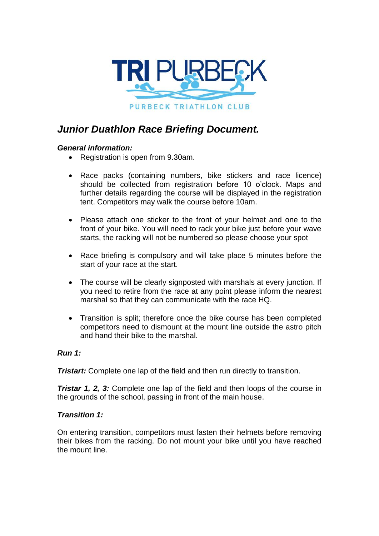

# *Junior Duathlon Race Briefing Document.*

### *General information:*

- Registration is open from 9.30am.
- Race packs (containing numbers, bike stickers and race licence) should be collected from registration before 10 o'clock. Maps and further details regarding the course will be displayed in the registration tent. Competitors may walk the course before 10am.
- Please attach one sticker to the front of your helmet and one to the front of your bike. You will need to rack your bike just before your wave starts, the racking will not be numbered so please choose your spot
- Race briefing is compulsory and will take place 5 minutes before the start of your race at the start.
- The course will be clearly signposted with marshals at every junction. If you need to retire from the race at any point please inform the nearest marshal so that they can communicate with the race HQ.
- Transition is split; therefore once the bike course has been completed competitors need to dismount at the mount line outside the astro pitch and hand their bike to the marshal.

## *Run 1:*

**Tristart:** Complete one lap of the field and then run directly to transition.

*Tristar 1, 2, 3:* Complete one lap of the field and then loops of the course in the grounds of the school, passing in front of the main house.

#### *Transition 1:*

On entering transition, competitors must fasten their helmets before removing their bikes from the racking. Do not mount your bike until you have reached the mount line.